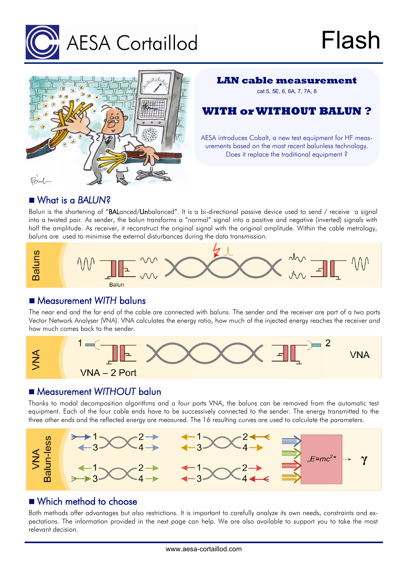



### **LAN cable measurement**

cat 5, 5E, 6, 6A, 7, 7A, 8

**WITH or WITHOUT BALUN ?**

AESA introduces Cobalt, a new test equipment for HF measurements based on the most recent balunless technology. Does it replace the traditional equipment ?

## What is a *BALUN*?

Balun is the shortening of "BALanced/Unbalanced". It is a bi-directional passive device used to send / receive a signal into a twisted pair. As sender, the balun transforms a "normal" signal into a positive and negative (inverted) signals with half the amplitude. As receiver, it reconstruct the original signal with the original amplitude. Within the cable metrology, baluns are used to minimise the external disturbances during the data transmission.



## Measurement *WITH* baluns

The near end and the far end of the cable are connected with baluns. The sender and the receiver are part of a two ports Vector Network Analyser (VNA). VNA calculates the energy ratio, how much of the injected energy reaches the receiver and how much comes back to the sender.



# Measurement *WITHOUT* balun

Thanks to modal decomposition algorithms and a four ports VNA, the baluns can be removed from the automatic test equipment. Each of the four cable ends have to be successively connected to the sender. The energy transmitted to the three other ends and the reflected energy are measured. The 16 resulting curves are used to calculate the parameters.



# Which method to choose

Both methods offer advantages but also restrictions. It is important to carefully analyze its own needs, constraints and expectations. The information provided in the next page can help. We are also available to support you to take the most relevant decision.